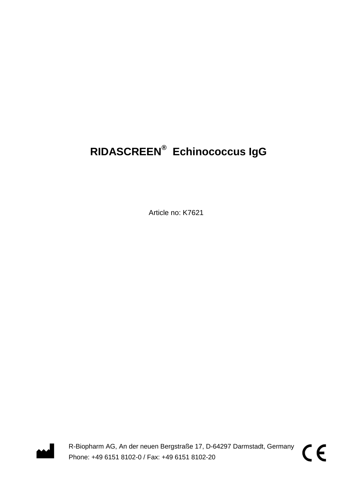# **RIDASCREEN® Echinococcus IgG**

Article no: K7621



R-Biopharm AG, An der neuen Bergstraße 17, D-64297 Darmstadt, Germany Phone: +49 6151 8102-0 / Fax: +49 6151 8102-20

CE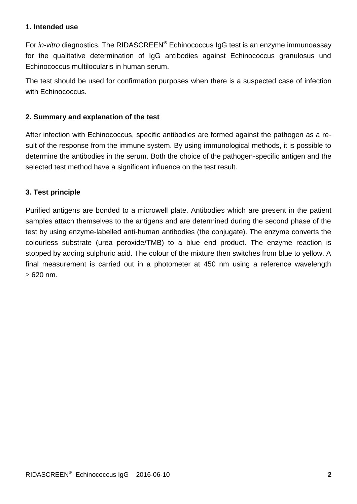#### **1. Intended use**

For *in-vitro* diagnostics. The RIDASCREEN® Echinococcus IgG test is an enzyme immunoassay for the qualitative determination of IgG antibodies against Echinococcus granulosus und Echinococcus multilocularis in human serum.

The test should be used for confirmation purposes when there is a suspected case of infection with Echinococcus.

#### **2. Summary and explanation of the test**

After infection with Echinococcus, specific antibodies are formed against the pathogen as a result of the response from the immune system. By using immunological methods, it is possible to determine the antibodies in the serum. Both the choice of the pathogen-specific antigen and the selected test method have a significant influence on the test result.

#### **3. Test principle**

Purified antigens are bonded to a microwell plate. Antibodies which are present in the patient samples attach themselves to the antigens and are determined during the second phase of the test by using enzyme-labelled anti-human antibodies (the conjugate). The enzyme converts the colourless substrate (urea peroxide/TMB) to a blue end product. The enzyme reaction is stopped by adding sulphuric acid. The colour of the mixture then switches from blue to yellow. A final measurement is carried out in a photometer at 450 nm using a reference wavelength  $\geq 620$  nm.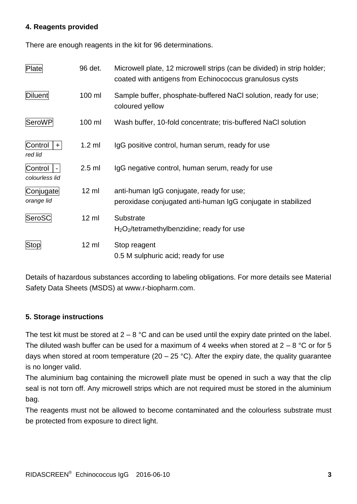#### **4. Reagents provided**

There are enough reagents in the kit for 96 determinations.

| Plate                                       | 96 det.         | Microwell plate, 12 microwell strips (can be divided) in strip holder;<br>coated with antigens from Echinococcus granulosus cysts |
|---------------------------------------------|-----------------|-----------------------------------------------------------------------------------------------------------------------------------|
| <b>Diluent</b>                              | 100 ml          | Sample buffer, phosphate-buffered NaCl solution, ready for use;<br>coloured yellow                                                |
| SeroWP                                      | 100 ml          | Wash buffer, 10-fold concentrate; tris-buffered NaCl solution                                                                     |
| Control<br>$+$<br>red lid                   | $1.2$ ml        | IgG positive control, human serum, ready for use                                                                                  |
| Control<br>$\blacksquare$<br>colourless lid | $2.5$ ml        | IgG negative control, human serum, ready for use                                                                                  |
| Conjugate<br>orange lid                     | $12 \text{ ml}$ | anti-human IgG conjugate, ready for use;<br>peroxidase conjugated anti-human IgG conjugate in stabilized                          |
| SeroSC                                      | $12 \text{ ml}$ | Substrate<br>$H_2O_2$ /tetramethylbenzidine; ready for use                                                                        |
| <b>Stop</b>                                 | $12 \mathrm{m}$ | Stop reagent<br>0.5 M sulphuric acid; ready for use                                                                               |

Details of hazardous substances according to labeling obligations. For more details see Material Safety Data Sheets (MSDS) at www.r-biopharm.com.

#### **5. Storage instructions**

The test kit must be stored at  $2 - 8$  °C and can be used until the expiry date printed on the label. The diluted wash buffer can be used for a maximum of 4 weeks when stored at  $2 - 8$  °C or for 5 days when stored at room temperature (20 – 25 °C). After the expiry date, the quality guarantee is no longer valid.

The aluminium bag containing the microwell plate must be opened in such a way that the clip seal is not torn off. Any microwell strips which are not required must be stored in the aluminium bag.

The reagents must not be allowed to become contaminated and the colourless substrate must be protected from exposure to direct light.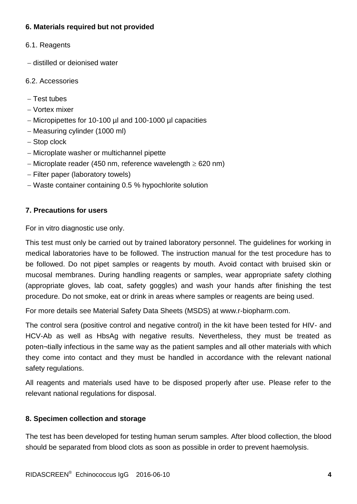## **6. Materials required but not provided**

- 6.1. Reagents
- distilled or deionised water
- 6.2. Accessories
- $-$  Test tubes
- Vortex mixer
- Micropipettes for 10-100 µl and 100-1000 µl capacities
- Measuring cylinder (1000 ml)
- Stop clock
- Microplate washer or multichannel pipette
- Microplate reader (450 nm, reference wavelength  $\geq$  620 nm)
- Filter paper (laboratory towels)
- Waste container containing 0.5 % hypochlorite solution

#### **7. Precautions for users**

For in vitro diagnostic use only.

This test must only be carried out by trained laboratory personnel. The guidelines for working in medical laboratories have to be followed. The instruction manual for the test procedure has to be followed. Do not pipet samples or reagents by mouth. Avoid contact with bruised skin or mucosal membranes. During handling reagents or samples, wear appropriate safety clothing (appropriate gloves, lab coat, safety goggles) and wash your hands after finishing the test procedure. Do not smoke, eat or drink in areas where samples or reagents are being used.

For more details see Material Safety Data Sheets (MSDS) at www.r-biopharm.com.

The control sera (positive control and negative control) in the kit have been tested for HIV- and HCV-Ab as well as HbsAg with negative results. Nevertheless, they must be treated as poten¬tially infectious in the same way as the patient samples and all other materials with which they come into contact and they must be handled in accordance with the relevant national safety regulations.

All reagents and materials used have to be disposed properly after use. Please refer to the relevant national regulations for disposal.

## **8. Specimen collection and storage**

The test has been developed for testing human serum samples. After blood collection, the blood should be separated from blood clots as soon as possible in order to prevent haemolysis.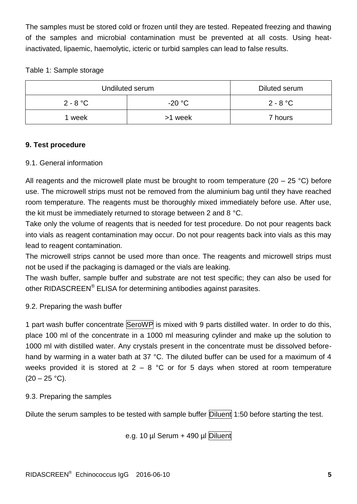The samples must be stored cold or frozen until they are tested. Repeated freezing and thawing of the samples and microbial contamination must be prevented at all costs. Using heatinactivated, lipaemic, haemolytic, icteric or turbid samples can lead to false results.

## Table 1: Sample storage

| Undiluted serum | Diluted serum |            |
|-----------------|---------------|------------|
| $2 - 8 °C$      | $-20 °C$      | $2 - 8 °C$ |
| week            | >1 week       | 7 hours    |

## **9. Test procedure**

#### 9.1. General information

All reagents and the microwell plate must be brought to room temperature (20 – 25 °C) before use. The microwell strips must not be removed from the aluminium bag until they have reached room temperature. The reagents must be thoroughly mixed immediately before use. After use, the kit must be immediately returned to storage between 2 and 8 °C.

Take only the volume of reagents that is needed for test procedure. Do not pour reagents back into vials as reagent contamination may occur. Do not pour reagents back into vials as this may lead to reagent contamination.

The microwell strips cannot be used more than once. The reagents and microwell strips must not be used if the packaging is damaged or the vials are leaking.

The wash buffer, sample buffer and substrate are not test specific; they can also be used for other RIDASCREEN® ELISA for determining antibodies against parasites.

## 9.2. Preparing the wash buffer

1 part wash buffer concentrate SeroWP is mixed with 9 parts distilled water. In order to do this, place 100 ml of the concentrate in a 1000 ml measuring cylinder and make up the solution to 1000 ml with distilled water. Any crystals present in the concentrate must be dissolved beforehand by warming in a water bath at 37 °C. The diluted buffer can be used for a maximum of 4 weeks provided it is stored at  $2 - 8$  °C or for 5 days when stored at room temperature  $(20 - 25 \degree C)$ .

#### 9.3. Preparing the samples

Dilute the serum samples to be tested with sample buffer Diluent 1:50 before starting the test.

e.g. 10 µl Serum + 490 µl Diluent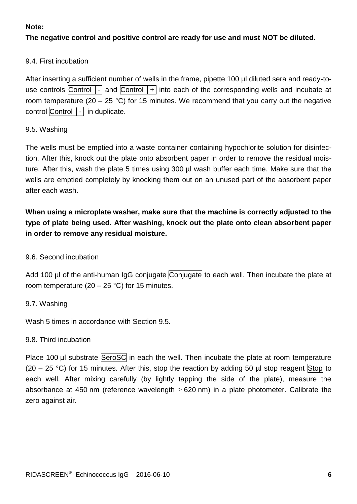#### **Note:**

## **The negative control and positive control are ready for use and must NOT be diluted.**

#### 9.4. First incubation

After inserting a sufficient number of wells in the frame, pipette 100 µl diluted sera and ready-touse controls Control  $\overline{\phantom{a}}$  and Control  $\overline{\phantom{a}}$  into each of the corresponding wells and incubate at room temperature (20 – 25 °C) for 15 minutes. We recommend that you carry out the negative control Control │- in duplicate.

#### 9.5. Washing

The wells must be emptied into a waste container containing hypochlorite solution for disinfection. After this, knock out the plate onto absorbent paper in order to remove the residual moisture. After this, wash the plate 5 times using 300 µl wash buffer each time. Make sure that the wells are emptied completely by knocking them out on an unused part of the absorbent paper after each wash.

## **When using a microplate washer, make sure that the machine is correctly adjusted to the type of plate being used. After washing, knock out the plate onto clean absorbent paper in order to remove any residual moisture.**

#### 9.6. Second incubation

Add 100 µl of the anti-human IgG conjugate Conjugate to each well. Then incubate the plate at room temperature  $(20 - 25 \degree C)$  for 15 minutes.

#### 9.7. Washing

Wash 5 times in accordance with Section 9.5.

#### 9.8. Third incubation

Place 100 µl substrate SeroSC in each the well. Then incubate the plate at room temperature (20 – 25 °C) for 15 minutes. After this, stop the reaction by adding 50 µl stop reagent Stop to each well. After mixing carefully (by lightly tapping the side of the plate), measure the absorbance at 450 nm (reference wavelength  $\geq$  620 nm) in a plate photometer. Calibrate the zero against air.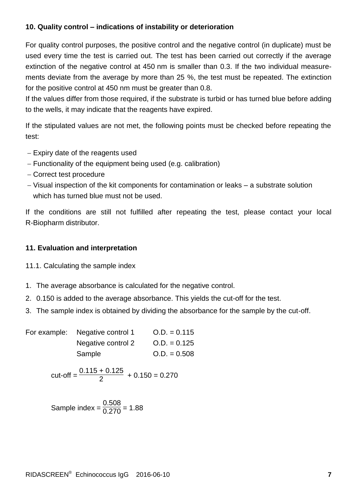#### **10. Quality control – indications of instability or deterioration**

For quality control purposes, the positive control and the negative control (in duplicate) must be used every time the test is carried out. The test has been carried out correctly if the average extinction of the negative control at 450 nm is smaller than 0.3. If the two individual measurements deviate from the average by more than 25 %, the test must be repeated. The extinction for the positive control at 450 nm must be greater than 0.8.

If the values differ from those required, if the substrate is turbid or has turned blue before adding to the wells, it may indicate that the reagents have expired.

If the stipulated values are not met, the following points must be checked before repeating the test:

- Expiry date of the reagents used
- Functionality of the equipment being used (e.g. calibration)
- Correct test procedure
- Visual inspection of the kit components for contamination or leaks a substrate solution which has turned blue must not be used.

If the conditions are still not fulfilled after repeating the test, please contact your local R-Biopharm distributor.

## **11. Evaluation and interpretation**

- 11.1. Calculating the sample index
- 1. The average absorbance is calculated for the negative control.
- 2. 0.150 is added to the average absorbance. This yields the cut-off for the test.
- 3. The sample index is obtained by dividing the absorbance for the sample by the cut-off.

| For example: Negative control 1 | $Q.D. = 0.115$ |
|---------------------------------|----------------|
| Negative control 2              | $Q.D. = 0.125$ |
| Sample                          | $Q.D. = 0.508$ |

cut-off = 
$$
\frac{0.115 + 0.125}{2} + 0.150 = 0.270
$$

Sample index =  $\frac{0.508}{0.270}$  = 1.88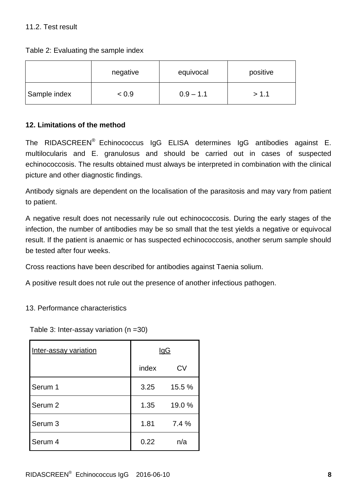Table 2: Evaluating the sample index

|              | negative | equivocal   | positive |
|--------------|----------|-------------|----------|
| Sample index | < 0.9    | $0.9 - 1.1$ | > 1.1    |

## **12. Limitations of the method**

The RIDASCREEN<sup>®</sup> Echinococcus IgG ELISA determines IgG antibodies against E. multilocularis and E. granulosus and should be carried out in cases of suspected echinococcosis. The results obtained must always be interpreted in combination with the clinical picture and other diagnostic findings.

Antibody signals are dependent on the localisation of the parasitosis and may vary from patient to patient.

A negative result does not necessarily rule out echinococcosis. During the early stages of the infection, the number of antibodies may be so small that the test yields a negative or equivocal result. If the patient is anaemic or has suspected echinococcosis, another serum sample should be tested after four weeks.

Cross reactions have been described for antibodies against Taenia solium.

A positive result does not rule out the presence of another infectious pathogen.

#### 13. Performance characteristics

Table 3: Inter-assay variation (n =30)

| Inter-assay variation | <u>IgG</u> |        |
|-----------------------|------------|--------|
|                       | index      | CV     |
| Serum 1               | 3.25       | 15.5 % |
| Serum <sub>2</sub>    | 1.35       | 19.0%  |
| Serum 3               | 1.81       | 7.4%   |
| Serum 4               | 0.22       | n/a    |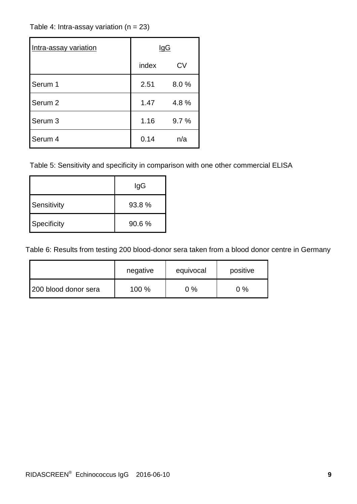## Table 4: Intra-assay variation  $(n = 23)$

| Intra-assay variation | IgG   |      |
|-----------------------|-------|------|
|                       | index | CV   |
| Serum 1               | 2.51  | 8.0% |
| Serum <sub>2</sub>    | 1.47  | 4.8% |
| Serum 3               | 1.16  | 9.7% |
| Serum 4               | 0.14  | n/a  |

Table 5: Sensitivity and specificity in comparison with one other commercial ELISA

|             | lgG   |  |
|-------------|-------|--|
| Sensitivity | 93.8% |  |
| Specificity | 90.6% |  |

Table 6: Results from testing 200 blood-donor sera taken from a blood donor centre in Germany

|                      | negative | equivocal | positive |
|----------------------|----------|-----------|----------|
| 200 blood donor sera | 100 %    | $0\%$     | $0\%$    |